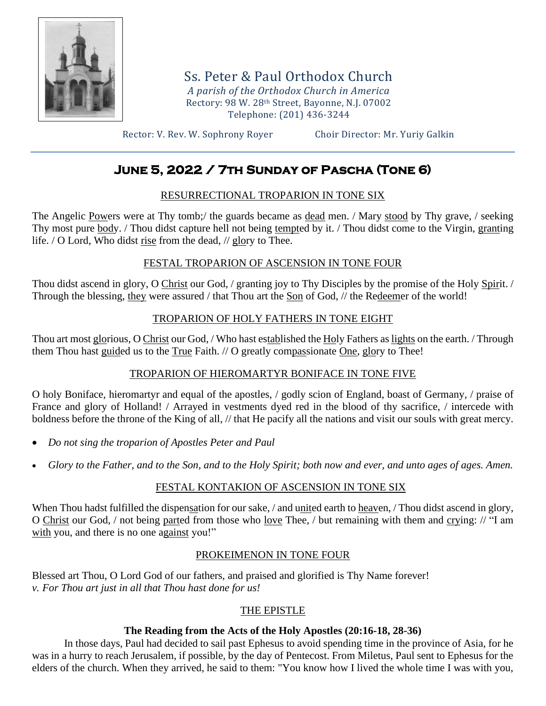

Ss. Peter & Paul Orthodox Church *A parish of the Orthodox Church in America* Rectory: 98 W. 28th Street, Bayonne, N.J. 07002 Telephone: (201) 436-3244

Rector: V. Rev. W. Sophrony Royer Choir Director: Mr. Yuriy Galkin

# **June 5, 2022 / 7th Sunday of Pascha (Tone 6)**

# RESURRECTIONAL TROPARION IN TONE SIX

The Angelic Powers were at Thy tomb;/ the guards became as dead men. / Mary stood by Thy grave, / seeking Thy most pure body. / Thou didst capture hell not being tempted by it. / Thou didst come to the Virgin, granting life. / O Lord, Who didst rise from the dead, // glory to Thee.

# FESTAL TROPARION OF ASCENSION IN TONE FOUR

Thou didst ascend in glory, O Christ our God, / granting joy to Thy Disciples by the promise of the Holy Spirit. / Through the blessing, they were assured / that Thou art the Son of God, // the Redeemer of the world!

# TROPARION OF HOLY FATHERS IN TONE EIGHT

Thou art most glorious, O Christ our God, / Who hast established the Holy Fathers as lights on the earth. / Through them Thou hast guided us to the True Faith. // O greatly compassionate One, glory to Thee!

# TROPARION OF HIEROMARTYR BONIFACE IN TONE FIVE

O holy Boniface, hieromartyr and equal of the apostles, / godly scion of England, boast of Germany, / praise of France and glory of Holland! / Arrayed in vestments dyed red in the blood of thy sacrifice, / intercede with boldness before the throne of the King of all, // that He pacify all the nations and visit our souls with great mercy.

- *Do not sing the troparion of Apostles Peter and Paul*
- *Glory to the Father, and to the Son, and to the Holy Spirit; both now and ever, and unto ages of ages. Amen.*

# FESTAL KONTAKION OF ASCENSION IN TONE SIX

When Thou hadst fulfilled the dispensation for our sake, / and united earth to heaven, / Thou didst ascend in glory, O Christ our God, / not being parted from those who love Thee, / but remaining with them and crying: // "I am with you, and there is no one against you!"

# PROKEIMENON IN TONE FOUR

Blessed art Thou, O Lord God of our fathers, and praised and glorified is Thy Name forever! *v. For Thou art just in all that Thou hast done for us!*

# THE EPISTLE

# **The Reading from the Acts of the Holy Apostles (20:16-18, 28-36)**

In those days, Paul had decided to sail past Ephesus to avoid spending time in the province of Asia, for he was in a hurry to reach Jerusalem, if possible, by the day of Pentecost. From Miletus, Paul sent to Ephesus for the elders of the church. When they arrived, he said to them: "You know how I lived the whole time I was with you,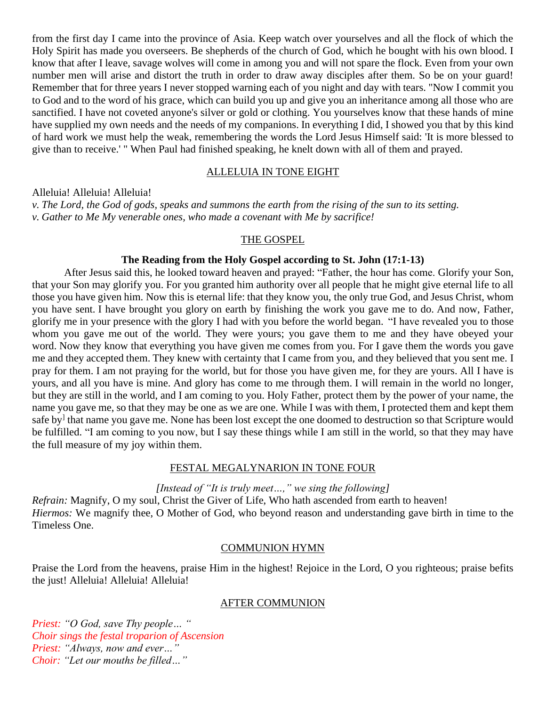from the first day I came into the province of Asia. Keep watch over yourselves and all the flock of which the Holy Spirit has made you overseers. Be shepherds of the church of God, which he bought with his own blood. I know that after I leave, savage wolves will come in among you and will not spare the flock. Even from your own number men will arise and distort the truth in order to draw away disciples after them. So be on your guard! Remember that for three years I never stopped warning each of you night and day with tears. "Now I commit you to God and to the word of his grace, which can build you up and give you an inheritance among all those who are sanctified. I have not coveted anyone's silver or gold or clothing. You yourselves know that these hands of mine have supplied my own needs and the needs of my companions. In everything I did, I showed you that by this kind of hard work we must help the weak, remembering the words the Lord Jesus Himself said: 'It is more blessed to give than to receive.' " When Paul had finished speaking, he knelt down with all of them and prayed.

## ALLELUIA IN TONE EIGHT

Alleluia! Alleluia! Alleluia!

*v. The Lord, the God of gods, speaks and summons the earth from the rising of the sun to its setting. v. Gather to Me My venerable ones, who made a covenant with Me by sacrifice!*

## THE GOSPEL

## **The Reading from the Holy Gospel according to St. John (17:1-13)**

After Jesus said this, he looked toward heaven and prayed: "Father, the hour has come. Glorify your Son, that your Son may glorify you. For you granted him authority over all people that he might give eternal life to all those you have given him. Now this is eternal life: that they know you, the only true God, and Jesus Christ, whom you have sent. I have brought you glory on earth by finishing the work you gave me to do. And now, Father, glorify me in your presence with the glory I had with you before the world began. "I have revealed you to those whom you gave me out of the world. They were yours; you gave them to me and they have obeyed your word. Now they know that everything you have given me comes from you. For I gave them the words you gave me and they accepted them. They knew with certainty that I came from you, and they believed that you sent me. I pray for them. I am not praying for the world, but for those you have given me, for they are yours. All I have is yours, and all you have is mine. And glory has come to me through them. I will remain in the world no longer, but they are still in the world, and I am coming to you. Holy Father, protect them by the power of your name, the name you gave me, so that they may be one as we are one. While I was with them, I protected them and kept them safe by<sup>1</sup> that name you gave me. None has been lost except the one doomed to destruction so that Scripture would be fulfilled. "I am coming to you now, but I say these things while I am still in the world, so that they may have the full measure of my joy within them.

## FESTAL MEGALYNARION IN TONE FOUR

*[Instead of "It is truly meet…," we sing the following]*

*Refrain:* Magnify, O my soul, Christ the Giver of Life, Who hath ascended from earth to heaven! *Hiermos:* We magnify thee, O Mother of God, who beyond reason and understanding gave birth in time to the Timeless One.

## COMMUNION HYMN

Praise the Lord from the heavens, praise Him in the highest! Rejoice in the Lord, O you righteous; praise befits the just! Alleluia! Alleluia! Alleluia!

## AFTER COMMUNION

*Priest: "O God, save Thy people… " Choir sings the festal troparion of Ascension Priest: "Always, now and ever…" Choir: "Let our mouths be filled…"*